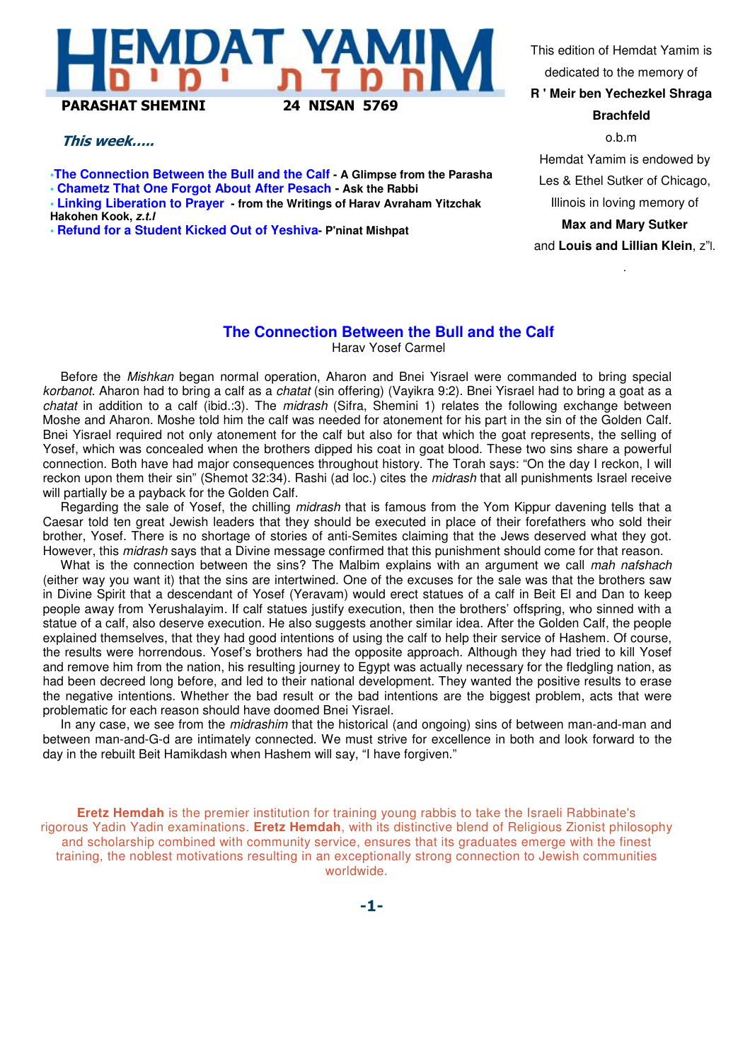

#### This week…..

**•The Connection Between the Bull and the Calf - A Glimpse from the Parasha**

**• Chametz That One Forgot About After Pesach - Ask the Rabbi**

**• Linking Liberation to Prayer - from the Writings of Harav Avraham Yitzchak Hakohen Kook, z.t.l**

**• Refund for a Student Kicked Out of Yeshiva- P'ninat Mishpat**

This edition of Hemdat Yamim is dedicated to the memory of

**R ' Meir ben Yechezkel Shraga Brachfeld**

o.b.m Hemdat Yamim is endowed by Les & Ethel Sutker of Chicago, Illinois in loving memory of **Max and Mary Sutker** and **Louis and Lillian Klein**, z"l.

.

# **The Connection Between the Bull and the Calf**

Harav Yosef Carmel

Before the Mishkan began normal operation, Aharon and Bnei Yisrael were commanded to bring special korbanot. Aharon had to bring a calf as a chatat (sin offering) (Vayikra 9:2). Bnei Yisrael had to bring a goat as a chatat in addition to a calf (ibid.:3). The midrash (Sifra, Shemini 1) relates the following exchange between Moshe and Aharon. Moshe told him the calf was needed for atonement for his part in the sin of the Golden Calf. Bnei Yisrael required not only atonement for the calf but also for that which the goat represents, the selling of Yosef, which was concealed when the brothers dipped his coat in goat blood. These two sins share a powerful connection. Both have had major consequences throughout history. The Torah says: "On the day I reckon, I will reckon upon them their sin" (Shemot 32:34). Rashi (ad loc.) cites the *midrash* that all punishments Israel receive will partially be a payback for the Golden Calf.

Regarding the sale of Yosef, the chilling midrash that is famous from the Yom Kippur davening tells that a Caesar told ten great Jewish leaders that they should be executed in place of their forefathers who sold their brother, Yosef. There is no shortage of stories of anti-Semites claiming that the Jews deserved what they got. However, this *midrash* says that a Divine message confirmed that this punishment should come for that reason.

What is the connection between the sins? The Malbim explains with an argument we call mah nafshach (either way you want it) that the sins are intertwined. One of the excuses for the sale was that the brothers saw in Divine Spirit that a descendant of Yosef (Yeravam) would erect statues of a calf in Beit El and Dan to keep people away from Yerushalayim. If calf statues justify execution, then the brothers' offspring, who sinned with a statue of a calf, also deserve execution. He also suggests another similar idea. After the Golden Calf, the people explained themselves, that they had good intentions of using the calf to help their service of Hashem. Of course, the results were horrendous. Yosef's brothers had the opposite approach. Although they had tried to kill Yosef and remove him from the nation, his resulting journey to Egypt was actually necessary for the fledgling nation, as had been decreed long before, and led to their national development. They wanted the positive results to erase the negative intentions. Whether the bad result or the bad intentions are the biggest problem, acts that were problematic for each reason should have doomed Bnei Yisrael.

In any case, we see from the *midrashim* that the historical (and ongoing) sins of between man-and-man and between man-and-G-d are intimately connected. We must strive for excellence in both and look forward to the day in the rebuilt Beit Hamikdash when Hashem will say, "I have forgiven."

**Eretz Hemdah** is the premier institution for training young rabbis to take the Israeli Rabbinate's rigorous Yadin Yadin examinations. **Eretz Hemdah**, with its distinctive blend of Religious Zionist philosophy and scholarship combined with community service, ensures that its graduates emerge with the finest training, the noblest motivations resulting in an exceptionally strong connection to Jewish communities worldwide.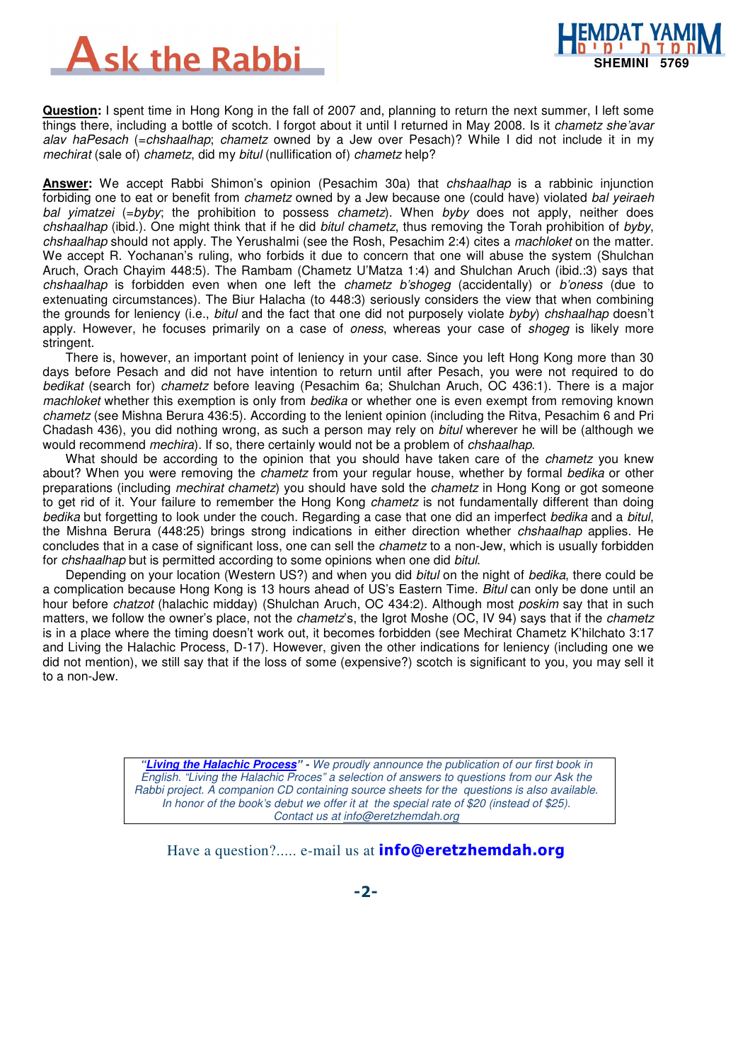



**Question:** I spent time in Hong Kong in the fall of 2007 and, planning to return the next summer, I left some things there, including a bottle of scotch. I forgot about it until I returned in May 2008. Is it chametz she'avar alav haPesach (=chshaalhap; chametz owned by a Jew over Pesach)? While I did not include it in my mechirat (sale of) chametz, did my bitul (nullification of) chametz help?

**Answer:** We accept Rabbi Shimon's opinion (Pesachim 30a) that chshaalhap is a rabbinic injunction forbiding one to eat or benefit from *chametz* owned by a Jew because one (could have) violated bal yeiraeh bal yimatzei (=byby; the prohibition to possess *chametz*). When byby does not apply, neither does chshaalhap (ibid.). One might think that if he did bitul chametz, thus removing the Torah prohibition of byby, chshaalhap should not apply. The Yerushalmi (see the Rosh, Pesachim 2:4) cites a machloket on the matter. We accept R. Yochanan's ruling, who forbids it due to concern that one will abuse the system (Shulchan Aruch, Orach Chayim 448:5). The Rambam (Chametz U'Matza 1:4) and Shulchan Aruch (ibid.:3) says that chshaalhap is forbidden even when one left the *chametz b'shogeg* (accidentally) or *b'oness* (due to extenuating circumstances). The Biur Halacha (to 448:3) seriously considers the view that when combining the grounds for leniency (i.e., bitul and the fact that one did not purposely violate byby) chshaalhap doesn't apply. However, he focuses primarily on a case of *oness*, whereas your case of *shogeg* is likely more stringent.

There is, however, an important point of leniency in your case. Since you left Hong Kong more than 30 days before Pesach and did not have intention to return until after Pesach, you were not required to do bedikat (search for) chametz before leaving (Pesachim 6a; Shulchan Aruch, OC 436:1). There is a major machloket whether this exemption is only from bedika or whether one is even exempt from removing known chametz (see Mishna Berura 436:5). According to the lenient opinion (including the Ritva, Pesachim 6 and Pri Chadash 436), you did nothing wrong, as such a person may rely on bitul wherever he will be (although we would recommend *mechira*). If so, there certainly would not be a problem of *chshaalhap*.

What should be according to the opinion that you should have taken care of the *chametz* you knew about? When you were removing the *chametz* from your regular house, whether by formal bedika or other preparations (including *mechirat chametz*) you should have sold the *chametz* in Hong Kong or got someone to get rid of it. Your failure to remember the Hong Kong *chametz* is not fundamentally different than doing bedika but forgetting to look under the couch. Regarding a case that one did an imperfect bedika and a bitul, the Mishna Berura (448:25) brings strong indications in either direction whether chshaalhap applies. He concludes that in a case of significant loss, one can sell the *chametz* to a non-Jew, which is usually forbidden for chshaalhap but is permitted according to some opinions when one did bitul.

Depending on your location (Western US?) and when you did bitul on the night of bedika, there could be a complication because Hong Kong is 13 hours ahead of US's Eastern Time. Bitul can only be done until an hour before chatzot (halachic midday) (Shulchan Aruch, OC 434:2). Although most poskim say that in such matters, we follow the owner's place, not the *chametz's*, the Igrot Moshe (OC, IV 94) says that if the *chametz* is in a place where the timing doesn't work out, it becomes forbidden (see Mechirat Chametz K'hilchato 3:17 and Living the Halachic Process, D-17). However, given the other indications for leniency (including one we did not mention), we still say that if the loss of some (expensive?) scotch is significant to you, you may sell it to a non-Jew.

> **"Living the Halachic Process**" **-** We proudly announce the publication of our first book in English. "Living the Halachic Proces" a selection of answers to questions from our Ask the Rabbi project. A companion CD containing source sheets for the questions is also available. In honor of the book's debut we offer it at the special rate of \$20 (instead of \$25). Contact us at info@eretzhemdah.org

Have a question?..... e-mail us at **info@eretzhemdah.org**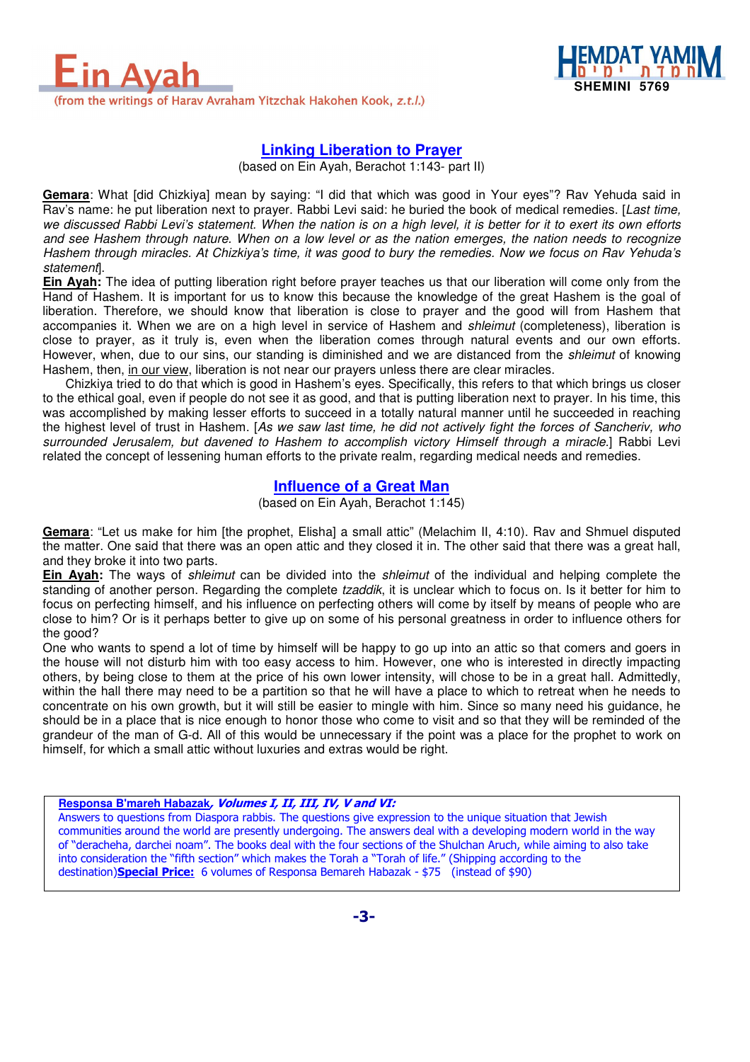



# **Linking Liberation to Prayer**

(based on Ein Ayah, Berachot 1:143- part II)

**Gemara**: What [did Chizkiya] mean by saying: "I did that which was good in Your eyes"? Rav Yehuda said in Rav's name: he put liberation next to prayer. Rabbi Levi said: he buried the book of medical remedies. [Last time, we discussed Rabbi Levi's statement. When the nation is on a high level, it is better for it to exert its own efforts and see Hashem through nature. When on a low level or as the nation emerges, the nation needs to recognize Hashem through miracles. At Chizkiya's time, it was good to bury the remedies. Now we focus on Rav Yehuda's statement].

**Ein Ayah:** The idea of putting liberation right before prayer teaches us that our liberation will come only from the Hand of Hashem. It is important for us to know this because the knowledge of the great Hashem is the goal of liberation. Therefore, we should know that liberation is close to prayer and the good will from Hashem that accompanies it. When we are on a high level in service of Hashem and *shleimut* (completeness), liberation is close to prayer, as it truly is, even when the liberation comes through natural events and our own efforts. However, when, due to our sins, our standing is diminished and we are distanced from the shleimut of knowing Hashem, then, in our view, liberation is not near our prayers unless there are clear miracles.

Chizkiya tried to do that which is good in Hashem's eyes. Specifically, this refers to that which brings us closer to the ethical goal, even if people do not see it as good, and that is putting liberation next to prayer. In his time, this was accomplished by making lesser efforts to succeed in a totally natural manner until he succeeded in reaching the highest level of trust in Hashem. [As we saw last time, he did not actively fight the forces of Sancheriv, who surrounded Jerusalem, but davened to Hashem to accomplish victory Himself through a miracle.] Rabbi Levi related the concept of lessening human efforts to the private realm, regarding medical needs and remedies.

### **Influence of a Great Man**

(based on Ein Ayah, Berachot 1:145)

**Gemara**: "Let us make for him [the prophet, Elisha] a small attic" (Melachim II, 4:10). Rav and Shmuel disputed the matter. One said that there was an open attic and they closed it in. The other said that there was a great hall, and they broke it into two parts.

**Ein Ayah:** The ways of shleimut can be divided into the shleimut of the individual and helping complete the standing of another person. Regarding the complete *tzaddik*, it is unclear which to focus on. Is it better for him to focus on perfecting himself, and his influence on perfecting others will come by itself by means of people who are close to him? Or is it perhaps better to give up on some of his personal greatness in order to influence others for the good?

One who wants to spend a lot of time by himself will be happy to go up into an attic so that comers and goers in the house will not disturb him with too easy access to him. However, one who is interested in directly impacting others, by being close to them at the price of his own lower intensity, will chose to be in a great hall. Admittedly, within the hall there may need to be a partition so that he will have a place to which to retreat when he needs to concentrate on his own growth, but it will still be easier to mingle with him. Since so many need his guidance, he should be in a place that is nice enough to honor those who come to visit and so that they will be reminded of the grandeur of the man of G-d. All of this would be unnecessary if the point was a place for the prophet to work on himself, for which a small attic without luxuries and extras would be right.

**Responsa B'mareh Habazak**, Volumes I, II, III, IV, V and VI: Answers to questions from Diaspora rabbis. The questions give expression to the unique situation that Jewish communities around the world are presently undergoing. The answers deal with a developing modern world in the way of "deracheha, darchei noam". The books deal with the four sections of the Shulchan Aruch, while aiming to also take into consideration the "fifth section" which makes the Torah a "Torah of life." (Shipping according to the destination)**Special Price:** 6 volumes of Responsa Bemareh Habazak - \$75 (instead of \$90)